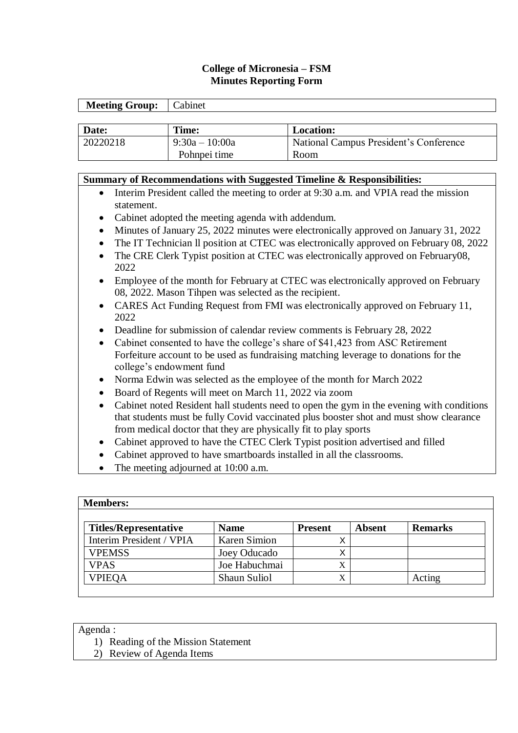### **College of Micronesia – FSM Minutes Reporting Form**

| <b>Meeting Group:</b> | Cabinet          |                                        |
|-----------------------|------------------|----------------------------------------|
|                       |                  |                                        |
| Date:                 | Time:            | <b>Location:</b>                       |
| 20220218              | $9:30a - 10:00a$ | National Campus President's Conference |
|                       | Pohnpei time     | <b>Room</b>                            |

# **Summary of Recommendations with Suggested Timeline & Responsibilities:** Interim President called the meeting to order at 9:30 a.m. and VPIA read the mission statement. Cabinet adopted the meeting agenda with addendum. Minutes of January 25, 2022 minutes were electronically approved on January 31, 2022 • The IT Technician II position at CTEC was electronically approved on February 08, 2022 The CRE Clerk Typist position at CTEC was electronically approved on February08, 2022 Employee of the month for February at CTEC was electronically approved on February 08, 2022. Mason Tihpen was selected as the recipient. CARES Act Funding Request from FMI was electronically approved on February 11, 2022 Deadline for submission of calendar review comments is February 28, 2022 • Cabinet consented to have the college's share of \$41,423 from ASC Retirement Forfeiture account to be used as fundraising matching leverage to donations for the college's endowment fund Norma Edwin was selected as the employee of the month for March 2022 Board of Regents will meet on March 11, 2022 via zoom Cabinet noted Resident hall students need to open the gym in the evening with conditions that students must be fully Covid vaccinated plus booster shot and must show clearance from medical doctor that they are physically fit to play sports Cabinet approved to have the CTEC Clerk Typist position advertised and filled

- Cabinet approved to have smartboards installed in all the classrooms.
- The meeting adjourned at 10:00 a.m.

| <b>Members:</b>              |                     |                |               |                |  |  |  |
|------------------------------|---------------------|----------------|---------------|----------------|--|--|--|
| <b>Titles/Representative</b> | <b>Name</b>         | <b>Present</b> | <b>Absent</b> | <b>Remarks</b> |  |  |  |
| Interim President / VPIA     | <b>Karen Simion</b> |                |               |                |  |  |  |
| <b>VPEMSS</b>                | Joey Oducado        |                |               |                |  |  |  |
| <b>VPAS</b>                  | Joe Habuchmai       | X              |               |                |  |  |  |
| <b>VPIEQA</b>                | Shaun Suliol        | X              |               | Acting         |  |  |  |

#### Agenda :

- 1) Reading of the Mission Statement
- 2) Review of Agenda Items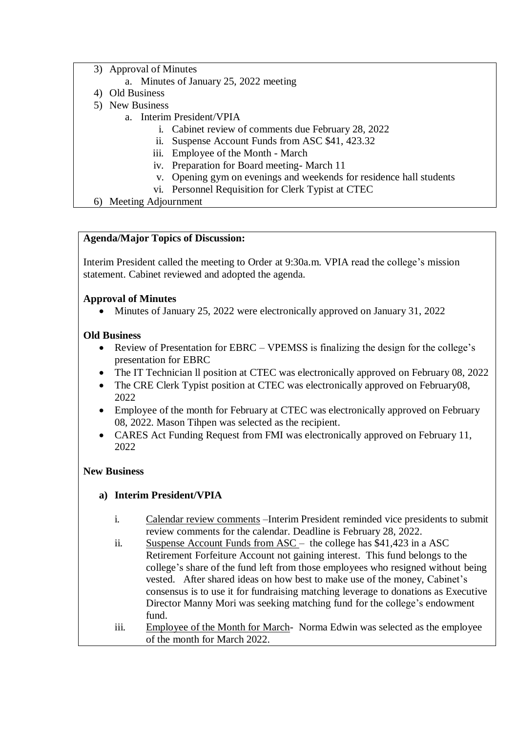- 3) Approval of Minutes
	- a. Minutes of January 25, 2022 meeting
- 4) Old Business
- 5) New Business
	- a. Interim President/VPIA
		- i. Cabinet review of comments due February 28, 2022
		- ii. Suspense Account Funds from ASC \$41, 423.32
		- iii. Employee of the Month March
		- iv. Preparation for Board meeting- March 11
		- v. Opening gym on evenings and weekends for residence hall students
		- vi. Personnel Requisition for Clerk Typist at CTEC
- 6) Meeting Adjournment

### **Agenda/Major Topics of Discussion:**

Interim President called the meeting to Order at 9:30a.m. VPIA read the college's mission statement. Cabinet reviewed and adopted the agenda.

## **Approval of Minutes**

Minutes of January 25, 2022 were electronically approved on January 31, 2022

### **Old Business**

- Review of Presentation for EBRC VPEMSS is finalizing the design for the college's presentation for EBRC
- The IT Technician ll position at CTEC was electronically approved on February 08, 2022
- The CRE Clerk Typist position at CTEC was electronically approved on February08, 2022
- Employee of the month for February at CTEC was electronically approved on February 08, 2022. Mason Tihpen was selected as the recipient.
- CARES Act Funding Request from FMI was electronically approved on February 11, 2022

### **New Business**

### **a) Interim President/VPIA**

- i. Calendar review comments –Interim President reminded vice presidents to submit review comments for the calendar. Deadline is February 28, 2022.
- ii. Suspense Account Funds from ASC the college has \$41,423 in a ASC Retirement Forfeiture Account not gaining interest. This fund belongs to the college's share of the fund left from those employees who resigned without being vested. After shared ideas on how best to make use of the money, Cabinet's consensus is to use it for fundraising matching leverage to donations as Executive Director Manny Mori was seeking matching fund for the college's endowment fund.
- iii. Employee of the Month for March- Norma Edwin was selected as the employee of the month for March 2022.